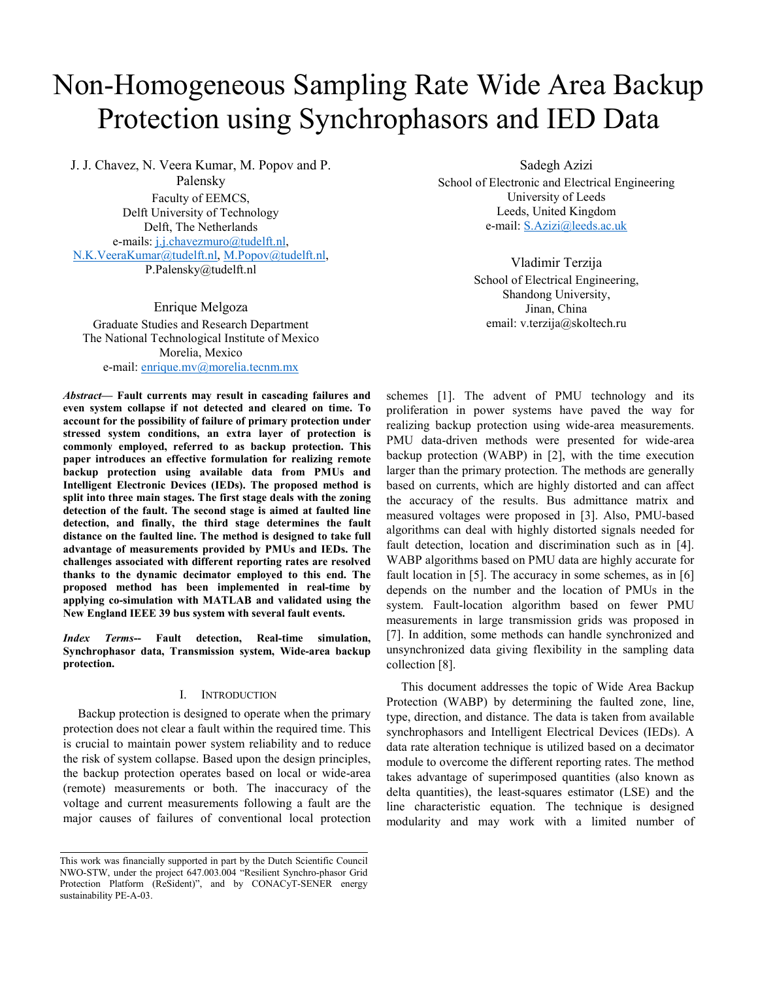# Non-Homogeneous Sampling Rate Wide Area Backup Protection using Synchrophasors and IED Data

J. J. Chavez, N. Veera Kumar, M. Popov and P. Palensky Faculty of EEMCS, Delft University of Technology Delft, The Netherlands e-mails: j.j.chavezmuro@tudelft.nl, N.K.VeeraKumar@tudelft.nl, M.Popov@tudelft.nl, P.Palensky@tudelft.nl

Enrique Melgoza Graduate Studies and Research Department The National Technological Institute of Mexico Morelia, Mexico e-mail: enrique.mv@morelia.tecnm.mx

*Abstract***— Fault currents may result in cascading failures and even system collapse if not detected and cleared on time. To account for the possibility of failure of primary protection under stressed system conditions, an extra layer of protection is commonly employed, referred to as backup protection. This paper introduces an effective formulation for realizing remote backup protection using available data from PMUs and Intelligent Electronic Devices (IEDs). The proposed method is split into three main stages. The first stage deals with the zoning detection of the fault. The second stage is aimed at faulted line detection, and finally, the third stage determines the fault distance on the faulted line. The method is designed to take full advantage of measurements provided by PMUs and IEDs. The challenges associated with different reporting rates are resolved thanks to the dynamic decimator employed to this end. The proposed method has been implemented in real-time by applying co-simulation with MATLAB and validated using the New England IEEE 39 bus system with several fault events.** 

*Index Terms***-- Fault detection, Real-time simulation, Synchrophasor data, Transmission system, Wide-area backup protection.** 

# I. INTRODUCTION

Backup protection is designed to operate when the primary protection does not clear a fault within the required time. This is crucial to maintain power system reliability and to reduce the risk of system collapse. Based upon the design principles, the backup protection operates based on local or wide-area (remote) measurements or both. The inaccuracy of the voltage and current measurements following a fault are the major causes of failures of conventional local protection Sadegh Azizi

School of Electronic and Electrical Engineering University of Leeds Leeds, United Kingdom e-mail: S.Azizi@leeds.ac.uk

> Vladimir Terzija School of Electrical Engineering, Shandong University, Jinan, China email: v.terzija@skoltech.ru

schemes [1]. The advent of PMU technology and its proliferation in power systems have paved the way for realizing backup protection using wide-area measurements. PMU data-driven methods were presented for wide-area backup protection (WABP) in [2], with the time execution larger than the primary protection. The methods are generally based on currents, which are highly distorted and can affect the accuracy of the results. Bus admittance matrix and measured voltages were proposed in [3]. Also, PMU-based algorithms can deal with highly distorted signals needed for fault detection, location and discrimination such as in [4]. WABP algorithms based on PMU data are highly accurate for fault location in [5]. The accuracy in some schemes, as in [6] depends on the number and the location of PMUs in the system. Fault-location algorithm based on fewer PMU measurements in large transmission grids was proposed in [7]. In addition, some methods can handle synchronized and unsynchronized data giving flexibility in the sampling data collection [8].

This document addresses the topic of Wide Area Backup Protection (WABP) by determining the faulted zone, line, type, direction, and distance. The data is taken from available synchrophasors and Intelligent Electrical Devices (IEDs). A data rate alteration technique is utilized based on a decimator module to overcome the different reporting rates. The method takes advantage of superimposed quantities (also known as delta quantities), the least-squares estimator (LSE) and the line characteristic equation. The technique is designed modularity and may work with a limited number of

This work was financially supported in part by the Dutch Scientific Council NWO-STW, under the project 647.003.004 "Resilient Synchro-phasor Grid Protection Platform (ReSident)", and by CONACyT-SENER energy sustainability PE-A-03.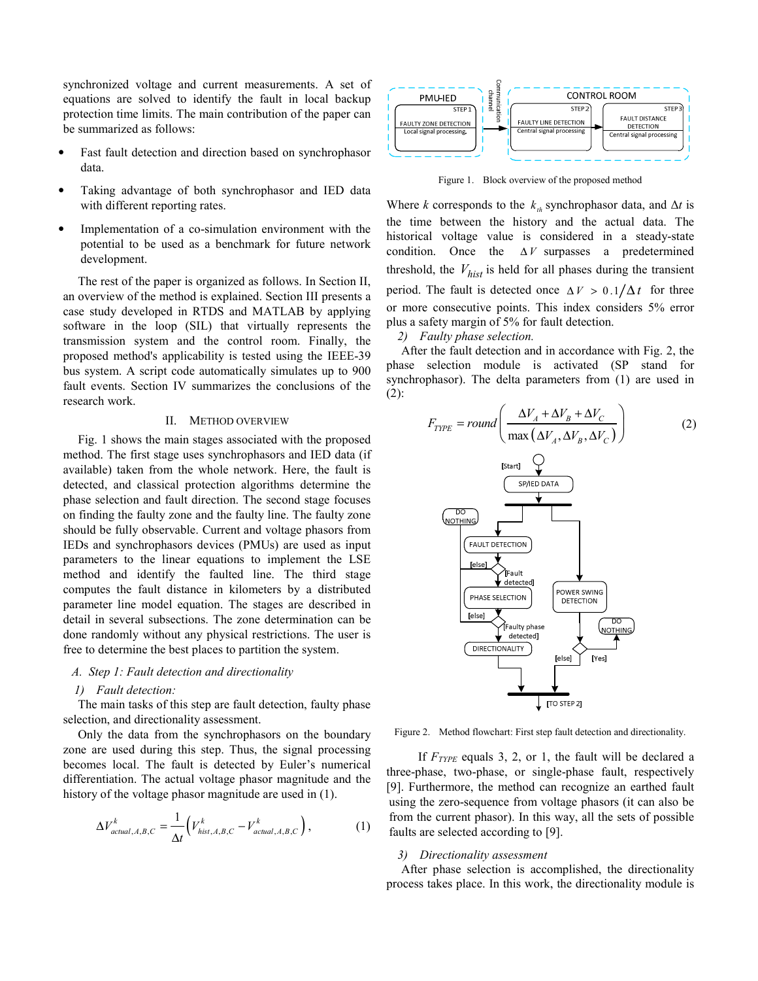synchronized voltage and current measurements. A set of equations are solved to identify the fault in local backup protection time limits. The main contribution of the paper can be summarized as follows:

- Fast fault detection and direction based on synchrophasor data.
- Taking advantage of both synchrophasor and IED data with different reporting rates.
- Implementation of a co-simulation environment with the potential to be used as a benchmark for future network development.

The rest of the paper is organized as follows. In Section II, an overview of the method is explained. Section III presents a case study developed in RTDS and MATLAB by applying software in the loop (SIL) that virtually represents the transmission system and the control room. Finally, the proposed method's applicability is tested using the IEEE-39 bus system. A script code automatically simulates up to 900 fault events. Section IV summarizes the conclusions of the research work.

## II. METHOD OVERVIEW

Fig. 1 shows the main stages associated with the proposed method. The first stage uses synchrophasors and IED data (if available) taken from the whole network. Here, the fault is detected, and classical protection algorithms determine the phase selection and fault direction. The second stage focuses on finding the faulty zone and the faulty line. The faulty zone should be fully observable. Current and voltage phasors from IEDs and synchrophasors devices (PMUs) are used as input parameters to the linear equations to implement the LSE method and identify the faulted line. The third stage computes the fault distance in kilometers by a distributed parameter line model equation. The stages are described in detail in several subsections. The zone determination can be done randomly without any physical restrictions. The user is free to determine the best places to partition the system.

## *A. Step 1: Fault detection and directionality*

#### *1) Fault detection:*

The main tasks of this step are fault detection, faulty phase selection, and directionality assessment.

Only the data from the synchrophasors on the boundary zone are used during this step. Thus, the signal processing becomes local. The fault is detected by Euler's numerical differentiation. The actual voltage phasor magnitude and the history of the voltage phasor magnitude are used in  $(1)$ .

$$
\Delta V_{actual,A,B,C}^k = \frac{1}{\Delta t} \Big( V_{hist,A,B,C}^k - V_{actual,A,B,C}^k \Big), \tag{1}
$$



Figure 1. Block overview of the proposed method

Where *k* corresponds to the  $k_{th}$  synchrophasor data, and  $\Delta t$  is the time between the history and the actual data. The historical voltage value is considered in a steady-state condition. Once the ∆ *V* surpasses a predetermined threshold, the  $V_{hist}$  is held for all phases during the transient period. The fault is detected once  $\Delta V > 0.1/\Delta t$  for three or more consecutive points. This index considers 5% error plus a safety margin of 5% for fault detection.

# *2) Faulty phase selection.*

After the fault detection and in accordance with Fig. 2, the phase selection module is activated (SP stand for synchrophasor). The delta parameters from (1) are used in (2):

$$
F_{T Y P E} = round \left( \frac{\Delta V_A + \Delta V_B + \Delta V_C}{\max(\Delta V_A, \Delta V_B, \Delta V_C)} \right)
$$
 (2)



Figure 2. Method flowchart: First step fault detection and directionality.

If *FTYPE* equals 3, 2, or 1, the fault will be declared a three-phase, two-phase, or single-phase fault, respectively [9]. Furthermore, the method can recognize an earthed fault using the zero-sequence from voltage phasors (it can also be from the current phasor). In this way, all the sets of possible faults are selected according to [9].

#### *3) Directionality assessment*

After phase selection is accomplished, the directionality process takes place. In this work, the directionality module is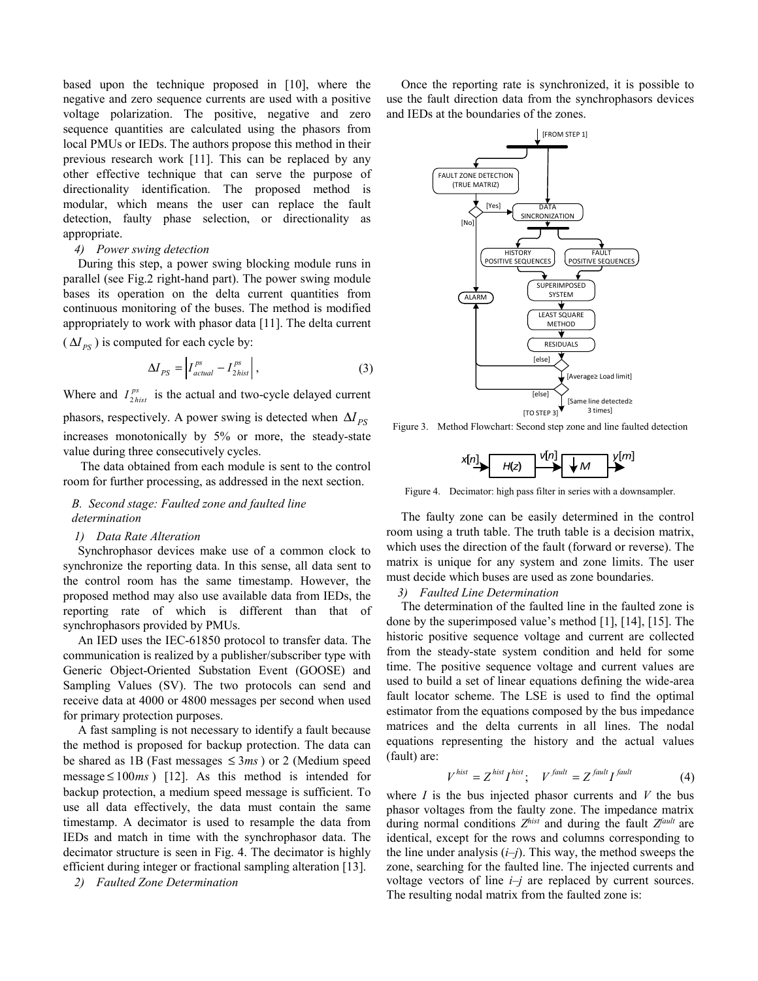based upon the technique proposed in [10], where the negative and zero sequence currents are used with a positive voltage polarization. The positive, negative and zero sequence quantities are calculated using the phasors from local PMUs or IEDs. The authors propose this method in their previous research work [11]. This can be replaced by any other effective technique that can serve the purpose of directionality identification. The proposed method is modular, which means the user can replace the fault detection, faulty phase selection, or directionality as appropriate.

#### *4) Power swing detection*

During this step, a power swing blocking module runs in parallel (see Fig.2 right-hand part). The power swing module bases its operation on the delta current quantities from continuous monitoring of the buses. The method is modified appropriately to work with phasor data [11]. The delta current  $(\Delta I_{PS})$  is computed for each cycle by:

$$
\Delta I_{PS} = \left| I_{actual}^{ps} - I_{2hist}^{ps} \right|,\tag{3}
$$

Where and  $I_{2 \text{hist}}^{ps}$  is the actual and two-cycle delayed current phasors, respectively. A power swing is detected when  $\Delta I_{P}$ increases monotonically by 5% or more, the steady-state value during three consecutively cycles.

The data obtained from each module is sent to the control room for further processing, as addressed in the next section.

# *B. Second stage: Faulted zone and faulted line determination*

## *1) Data Rate Alteration*

Synchrophasor devices make use of a common clock to synchronize the reporting data. In this sense, all data sent to the control room has the same timestamp. However, the proposed method may also use available data from IEDs, the reporting rate of which is different than that of synchrophasors provided by PMUs.

An IED uses the IEC-61850 protocol to transfer data. The communication is realized by a publisher/subscriber type with Generic Object-Oriented Substation Event (GOOSE) and Sampling Values (SV). The two protocols can send and receive data at 4000 or 4800 messages per second when used for primary protection purposes.

A fast sampling is not necessary to identify a fault because the method is proposed for backup protection. The data can be shared as 1B (Fast messages ≤ 3*ms* ) or 2 (Medium speed message  $\leq 100$ ms) [12]. As this method is intended for backup protection, a medium speed message is sufficient. To use all data effectively, the data must contain the same timestamp. A decimator is used to resample the data from IEDs and match in time with the synchrophasor data. The decimator structure is seen in Fig. 4. The decimator is highly efficient during integer or fractional sampling alteration [13].

*2) Faulted Zone Determination* 

Once the reporting rate is synchronized, it is possible to use the fault direction data from the synchrophasors devices and IEDs at the boundaries of the zones.



Figure 3. Method Flowchart: Second step zone and line faulted detection

|  |  | <b>100</b> | л | mĪ |
|--|--|------------|---|----|
|--|--|------------|---|----|

Figure 4. Decimator: high pass filter in series with a downsampler.

The faulty zone can be easily determined in the control room using a truth table. The truth table is a decision matrix, which uses the direction of the fault (forward or reverse). The matrix is unique for any system and zone limits. The user must decide which buses are used as zone boundaries.

*3) Faulted Line Determination* 

The determination of the faulted line in the faulted zone is done by the superimposed value's method [1], [14], [15]. The historic positive sequence voltage and current are collected from the steady-state system condition and held for some time. The positive sequence voltage and current values are used to build a set of linear equations defining the wide-area fault locator scheme. The LSE is used to find the optimal estimator from the equations composed by the bus impedance matrices and the delta currents in all lines. The nodal equations representing the history and the actual values (fault) are:

$$
V^{hist} = Z^{hist} I^{hist}; \quad V^{fault} = Z^{fault} I^{fault} \tag{4}
$$

where *I* is the bus injected phasor currents and *V* the bus phasor voltages from the faulty zone. The impedance matrix during normal conditions  $Z^{hist}$  and during the fault  $Z^{fault}$  are identical, except for the rows and columns corresponding to the line under analysis  $(i-j)$ . This way, the method sweeps the zone, searching for the faulted line. The injected currents and voltage vectors of line  $i-j$  are replaced by current sources. The resulting nodal matrix from the faulted zone is: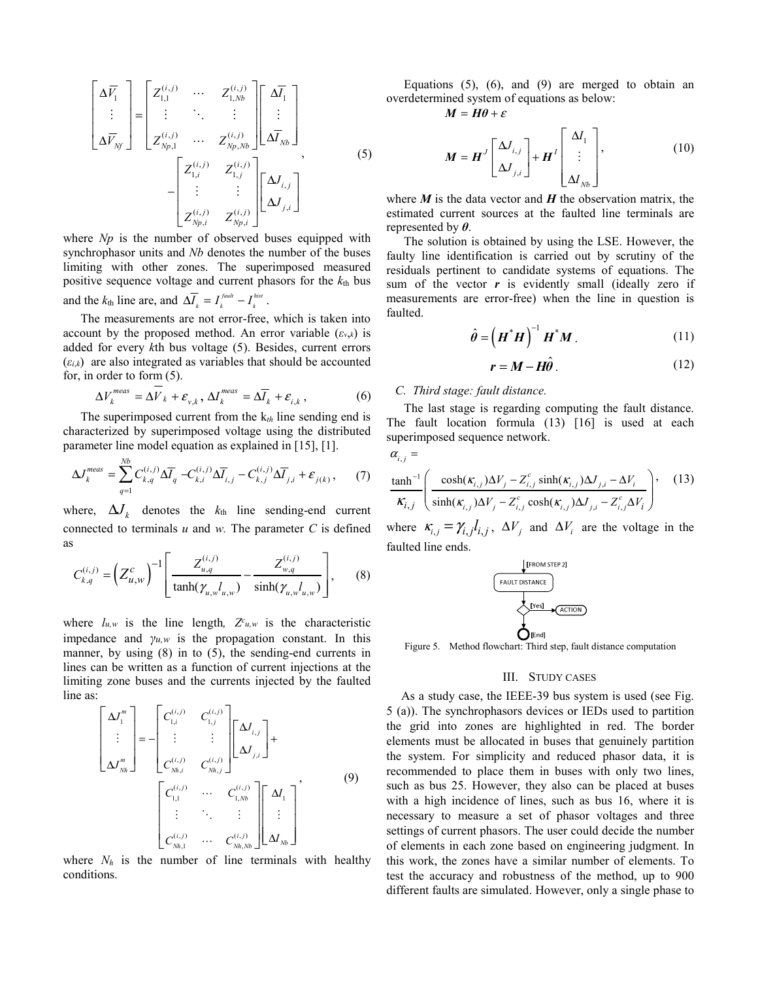$$
\begin{bmatrix}\n\Delta \overline{V}_1 \\
\vdots \\
\Delta \overline{V}_{Nf}\n\end{bmatrix} =\n\begin{bmatrix}\nZ_{1,1}^{(i,j)} & \cdots & Z_{1,Nb}^{(i,j)} \\
\vdots & \ddots & \vdots \\
Z_{Np,1}^{(i,j)} & \cdots & Z_{Np,Nb}^{(i,j)}\n\end{bmatrix}\n\begin{bmatrix}\n\Delta \overline{I}_1 \\
\vdots \\
\Delta \overline{I}_{Nb}\n\end{bmatrix}
$$
\n
$$
-\n\begin{bmatrix}\nZ_{1,i}^{(i,j)} & Z_{1,j}^{(i,j)} \\
\vdots & \vdots \\
Z_{Np,i}^{(i,j)} & Z_{Np,i}^{(i,j)}\n\end{bmatrix}\n\begin{bmatrix}\n\Delta J_{i,j} \\
\Delta J_{j,i}\n\end{bmatrix}
$$
\n(5)

where *Np* is the number of observed buses equipped with synchrophasor units and *Nb* denotes the number of the buses limiting with other zones. The superimposed measured positive sequence voltage and current phasors for the *k*th bus and the  $k_{\text{th}}$  line are, and  $\Delta \overline{I}_k = I_k^{faut} - I_k^{hist}$ .

The measurements are not error-free, which is taken into account by the proposed method. An error variable  $(\varepsilon_{v,k})$  is added for every *k*th bus voltage (5). Besides, current errors  $(\varepsilon_{i,k})$  are also integrated as variables that should be accounted for, in order to form (5).

$$
\Delta V_k^{meas} = \Delta V_k + \varepsilon_{v,k}, \, \Delta I_k^{meas} = \Delta \overline{I}_k + \varepsilon_{i,k} \,, \tag{6}
$$

The superimposed current from the k*th* line sending end is characterized by superimposed voltage using the distributed parameter line model equation as explained in [15], [1].

$$
\Delta J_k^{meas} = \sum_{q=1}^{Nb} C_{k,q}^{(i,j)} \Delta \overline{I}_q - C_{k,i}^{(i,j)} \Delta \overline{I}_{i,j} - C_{k,j}^{(i,j)} \Delta \overline{I}_{j,i} + \varepsilon_{j(k)}, \qquad (7)
$$

where,  $\Delta J_k$  denotes the  $k_{th}$  line sending-end current connected to terminals  $u$  and  $w$ . The parameter  $C$  is defined as

$$
C_{k,q}^{(i,j)} = \left(Z_{u,w}^c\right)^{-1} \left[ \frac{Z_{u,q}^{(i,j)}}{\tanh(\gamma_{u,w}l_{u,w})} - \frac{Z_{w,q}^{(i,j)}}{\sinh(\gamma_{u,w}l_{u,w})} \right],\qquad(8)
$$

where  $l_{u,w}$  is the line length,  $Z^c_{u,w}$  is the characteristic impedance and *γu,w* is the propagation constant. In this manner, by using (8) in to (5), the sending-end currents in lines can be written as a function of current injections at the limiting zone buses and the currents injected by the faulted line as:

$$
\begin{bmatrix}\n\Delta J_1^m \\
\vdots \\
\Delta J_{Nh}^m\n\end{bmatrix} = - \begin{bmatrix}\nC_{1,i}^{(i,j)} & C_{1,j}^{(i,j)} \\
\vdots & \vdots \\
C_{Nh,i}^{(i,j)} & C_{Nh,j}^{(i,j)}\n\end{bmatrix} \begin{bmatrix}\n\Delta J_{i,j} \\
\Delta J_{j,i}\n\end{bmatrix} + \n\begin{bmatrix}\nC_{1,1}^{(i,j)} & \cdots & C_{1,Nb}^{(i,j)} \\
\vdots & \ddots & \vdots \\
C_{Nh,1}^{(i,j)} & \cdots & C_{Nh,Nb}^{(i,j)}\n\end{bmatrix} \begin{bmatrix}\n\Delta I_1 \\
\vdots \\
\Delta I_{Nb}\n\end{bmatrix},
$$
\n(9)

where  $N_h$  is the number of line terminals with healthy conditions.

Equations  $(5)$ ,  $(6)$ , and  $(9)$  are merged to obtain an overdetermined system of equations as below:

$$
M=H\theta+\varepsilon
$$

$$
\boldsymbol{M} = \boldsymbol{H}^{J} \begin{bmatrix} \Delta J_{i,j} \\ \Delta J_{j,i} \end{bmatrix} + \boldsymbol{H}^{I} \begin{bmatrix} \Delta I_{1} \\ \vdots \\ \Delta I_{Nb} \end{bmatrix},
$$
(10)

where  $M$  is the data vector and  $H$  the observation matrix, the estimated current sources at the faulted line terminals are represented by *θ*.

The solution is obtained by using the LSE. However, the faulty line identification is carried out by scrutiny of the residuals pertinent to candidate systems of equations. The sum of the vector  $r$  is evidently small (ideally zero if measurements are error-free) when the line in question is faulted.

$$
\hat{\theta} = \left(\boldsymbol{H}^* \boldsymbol{H}\right)^{-1} \boldsymbol{H}^* \boldsymbol{M} \,. \tag{11}
$$

$$
r = M - H\hat{\theta} \,. \tag{12}
$$

### *C. Third stage: fault distance.*

The last stage is regarding computing the fault distance. The fault location formula (13) [16] is used at each superimposed sequence network.

 $\alpha_{i,j} =$ 

$$
\frac{\tanh^{-1}\left(\frac{\cosh(\kappa_{i,j})\Delta V_j - Z_{i,j}^c \sinh(\kappa_{i,j})\Delta U_{j,i} - \Delta V_i}{\sinh(\kappa_{i,j})\Delta V_j - Z_{i,j}^c \cosh(\kappa_{i,j})\Delta U_{j,i} - Z_{i,j}^c \Delta V_i}\right),
$$
 (13)

where  $\kappa_{i,j} = \gamma_{i,j} l_{i,j}, \Delta V_j$  and  $\Delta V_i$  are the voltage in the faulted line ends.



Figure 5. Method flowchart: Third step, fault distance computation

#### III. STUDY CASES

As a study case, the IEEE-39 bus system is used (see Fig. 5 (a)). The synchrophasors devices or IEDs used to partition the grid into zones are highlighted in red. The border elements must be allocated in buses that genuinely partition the system. For simplicity and reduced phasor data, it is recommended to place them in buses with only two lines, such as bus 25. However, they also can be placed at buses with a high incidence of lines, such as bus 16, where it is necessary to measure a set of phasor voltages and three settings of current phasors. The user could decide the number of elements in each zone based on engineering judgment. In this work, the zones have a similar number of elements. To test the accuracy and robustness of the method, up to 900 different faults are simulated. However, only a single phase to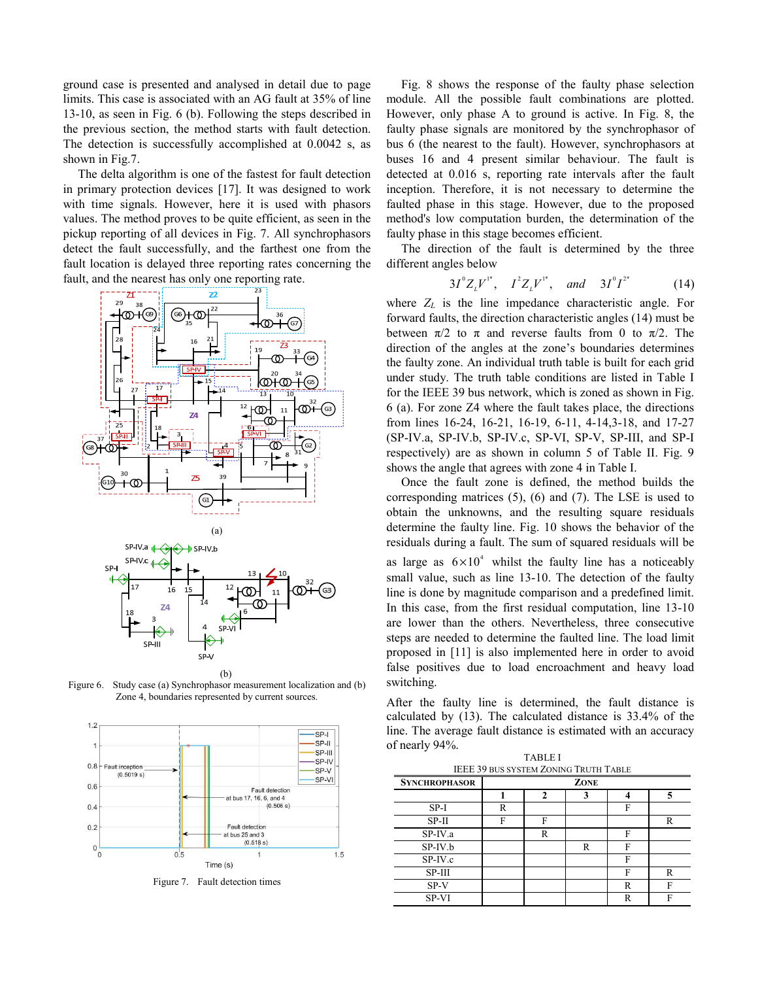ground case is presented and analysed in detail due to page limits. This case is associated with an AG fault at 35% of line 13-10, as seen in Fig. 6 (b). Following the steps described in the previous section, the method starts with fault detection. The detection is successfully accomplished at 0.0042 s, as shown in Fig.7.

The delta algorithm is one of the fastest for fault detection in primary protection devices [17]. It was designed to work with time signals. However, here it is used with phasors values. The method proves to be quite efficient, as seen in the pickup reporting of all devices in Fig. 7. All synchrophasors detect the fault successfully, and the farthest one from the fault location is delayed three reporting rates concerning the fault, and the nearest has only one reporting rate.



(b) Figure 6. Study case (a) Synchrophasor measurement localization and (b) Zone 4, boundaries represented by current sources.



Figure 7. Fault detection times

Fig. 8 shows the response of the faulty phase selection module. All the possible fault combinations are plotted. However, only phase A to ground is active. In Fig. 8, the faulty phase signals are monitored by the synchrophasor of bus 6 (the nearest to the fault). However, synchrophasors at buses 16 and 4 present similar behaviour. The fault is detected at 0.016 s, reporting rate intervals after the fault inception. Therefore, it is not necessary to determine the faulted phase in this stage. However, due to the proposed method's low computation burden, the determination of the faulty phase in this stage becomes efficient.

The direction of the fault is determined by the three different angles below

$$
3I^{\circ}Z_{L}V^{\prime\prime}, I^{2}Z_{L}V^{\prime\prime}, and 3I^{\circ}I^{2\prime}
$$
 (14)

where *ZL* is the line impedance characteristic angle. For forward faults, the direction characteristic angles (14) must be between  $\pi/2$  to  $\pi$  and reverse faults from 0 to  $\pi/2$ . The direction of the angles at the zone's boundaries determines the faulty zone. An individual truth table is built for each grid under study. The truth table conditions are listed in Table I for the IEEE 39 bus network, which is zoned as shown in Fig. 6 (a). For zone Z4 where the fault takes place, the directions from lines 16-24, 16-21, 16-19, 6-11, 4-14,3-18, and 17-27 (SP-IV.a, SP-IV.b, SP-IV.c, SP-VI, SP-V, SP-III, and SP-I respectively) are as shown in column 5 of Table II. Fig. 9 shows the angle that agrees with zone 4 in Table I.

Once the fault zone is defined, the method builds the corresponding matrices (5), (6) and (7). The LSE is used to obtain the unknowns, and the resulting square residuals determine the faulty line. Fig. 10 shows the behavior of the residuals during a fault. The sum of squared residuals will be as large as  $6 \times 10^4$  whilst the faulty line has a noticeably small value, such as line 13-10. The detection of the faulty line is done by magnitude comparison and a predefined limit. In this case, from the first residual computation, line 13-10 are lower than the others. Nevertheless, three consecutive steps are needed to determine the faulted line. The load limit proposed in [11] is also implemented here in order to avoid false positives due to load encroachment and heavy load switching.

After the faulty line is determined, the fault distance is calculated by (13). The calculated distance is 33.4% of the line. The average fault distance is estimated with an accuracy of nearly 94%.

TABLE I IEEE 39 BUS SYSTEM ZONING TRUTH TABLE

| <b>SYNCHROPHASOR</b> |   |   | ZONE |   |   |
|----------------------|---|---|------|---|---|
|                      |   |   | 3    |   |   |
| $SP-I$               | R |   |      | F |   |
| $SP-II$              | F | F |      |   | R |
| $SP-IV.a$            |   | R |      | Е |   |
| SP-IV.b              |   |   | R    | F |   |
| $SP-IV.c$            |   |   |      | F |   |
| $SP-III$             |   |   |      | F | R |
| $SP-V$               |   |   |      |   | F |
| SP-VI                |   |   |      |   | F |